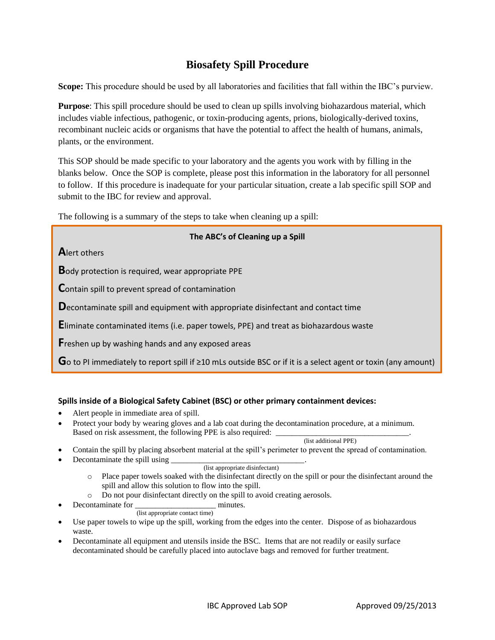# **Biosafety Spill Procedure**

**Scope:** This procedure should be used by all laboratories and facilities that fall within the IBC's purview.

**Purpose**: This spill procedure should be used to clean up spills involving biohazardous material, which includes viable infectious, pathogenic, or toxin-producing agents, prions, biologically-derived toxins, recombinant nucleic acids or organisms that have the potential to affect the health of humans, animals, plants, or the environment.

This SOP should be made specific to your laboratory and the agents you work with by filling in the blanks below. Once the SOP is complete, please post this information in the laboratory for all personnel to follow. If this procedure is inadequate for your particular situation, create a lab specific spill SOP and submit to the IBC for review and approval.

The following is a summary of the steps to take when cleaning up a spill:

## **The ABC's of Cleaning up a Spill**

**A**lert others

**B**ody protection is required, wear appropriate PPE

**C**ontain spill to prevent spread of contamination

**D**econtaminate spill and equipment with appropriate disinfectant and contact time

**E**liminate contaminated items (i.e. paper towels, PPE) and treat as biohazardous waste

**F**reshen up by washing hands and any exposed areas

**G**o to PI immediately to report spill if <sup>≥</sup>10 mLs outside BSC or if it is a select agent or toxin (any amount)

## **Spills inside of a Biological Safety Cabinet (BSC) or other primary containment devices:**

- Alert people in immediate area of spill.
- Protect your body by wearing gloves and a lab coat during the decontamination procedure, at a minimum. Based on risk assessment, the following PPE is also required:

(list additional PPE)

- Contain the spill by placing absorbent material at the spill's perimeter to prevent the spread of contamination.
- Decontaminate the spill using

#### (list appropriate disinfectant)

- o Place paper towels soaked with the disinfectant directly on the spill or pour the disinfectant around the spill and allow this solution to flow into the spill.
- o Do not pour disinfectant directly on the spill to avoid creating aerosols.
- Decontaminate for minutes.

(list appropriate contact time)

- Use paper towels to wipe up the spill, working from the edges into the center. Dispose of as biohazardous waste.
- Decontaminate all equipment and utensils inside the BSC. Items that are not readily or easily surface decontaminated should be carefully placed into autoclave bags and removed for further treatment.